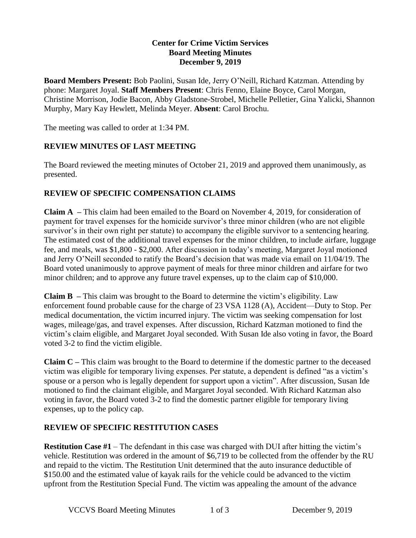## **Center for Crime Victim Services Board Meeting Minutes December 9, 2019**

**Board Members Present:** Bob Paolini, Susan Ide, Jerry O'Neill, Richard Katzman. Attending by phone: Margaret Joyal. **Staff Members Present**: Chris Fenno, Elaine Boyce, Carol Morgan, Christine Morrison, Jodie Bacon, Abby Gladstone-Strobel, Michelle Pelletier, Gina Yalicki, Shannon Murphy, Mary Kay Hewlett, Melinda Meyer. **Absent**: Carol Brochu.

The meeting was called to order at 1:34 PM.

## **REVIEW MINUTES OF LAST MEETING**

The Board reviewed the meeting minutes of October 21, 2019 and approved them unanimously, as presented.

## **REVIEW OF SPECIFIC COMPENSATION CLAIMS**

**Claim A –** This claim had been emailed to the Board on November 4, 2019, for consideration of payment for travel expenses for the homicide survivor's three minor children (who are not eligible survivor's in their own right per statute) to accompany the eligible survivor to a sentencing hearing. The estimated cost of the additional travel expenses for the minor children, to include airfare, luggage fee, and meals, was \$1,800 - \$2,000. After discussion in today's meeting, Margaret Joyal motioned and Jerry O'Neill seconded to ratify the Board's decision that was made via email on 11/04/19. The Board voted unanimously to approve payment of meals for three minor children and airfare for two minor children; and to approve any future travel expenses, up to the claim cap of \$10,000.

**Claim B –** This claim was brought to the Board to determine the victim's eligibility. Law enforcement found probable cause for the charge of 23 VSA 1128 (A), Accident—Duty to Stop. Per medical documentation, the victim incurred injury. The victim was seeking compensation for lost wages, mileage/gas, and travel expenses. After discussion, Richard Katzman motioned to find the victim's claim eligible, and Margaret Joyal seconded. With Susan Ide also voting in favor, the Board voted 3-2 to find the victim eligible.

**Claim C –** This claim was brought to the Board to determine if the domestic partner to the deceased victim was eligible for temporary living expenses. Per statute, a dependent is defined "as a victim's spouse or a person who is legally dependent for support upon a victim". After discussion, Susan Ide motioned to find the claimant eligible, and Margaret Joyal seconded. With Richard Katzman also voting in favor, the Board voted 3-2 to find the domestic partner eligible for temporary living expenses, up to the policy cap.

# **REVIEW OF SPECIFIC RESTITUTION CASES**

**Restitution Case #1** – The defendant in this case was charged with DUI after hitting the victim's vehicle. Restitution was ordered in the amount of \$6,719 to be collected from the offender by the RU and repaid to the victim. The Restitution Unit determined that the auto insurance deductible of \$150.00 and the estimated value of kayak rails for the vehicle could be advanced to the victim upfront from the Restitution Special Fund. The victim was appealing the amount of the advance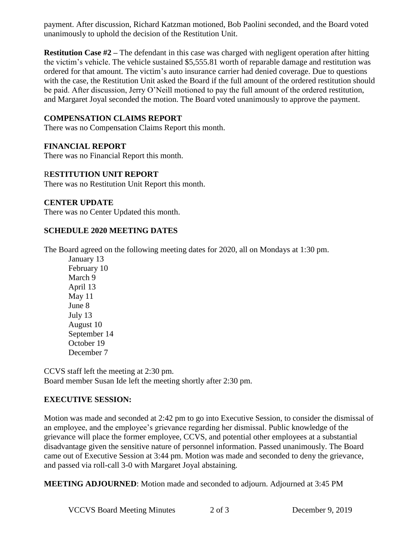payment. After discussion, Richard Katzman motioned, Bob Paolini seconded, and the Board voted unanimously to uphold the decision of the Restitution Unit.

**Restitution Case #2 –** The defendant in this case was charged with negligent operation after hitting the victim's vehicle. The vehicle sustained \$5,555.81 worth of reparable damage and restitution was ordered for that amount. The victim's auto insurance carrier had denied coverage. Due to questions with the case, the Restitution Unit asked the Board if the full amount of the ordered restitution should be paid. After discussion, Jerry O'Neill motioned to pay the full amount of the ordered restitution, and Margaret Joyal seconded the motion. The Board voted unanimously to approve the payment.

# **COMPENSATION CLAIMS REPORT**

There was no Compensation Claims Report this month.

## **FINANCIAL REPORT**

There was no Financial Report this month.

#### R**ESTITUTION UNIT REPORT**

There was no Restitution Unit Report this month.

#### **CENTER UPDATE**

There was no Center Updated this month.

#### **SCHEDULE 2020 MEETING DATES**

The Board agreed on the following meeting dates for 2020, all on Mondays at 1:30 pm.

January 13 February 10 March 9 April 13 May 11 June 8 July 13 August 10 September 14 October 19 December 7

CCVS staff left the meeting at 2:30 pm. Board member Susan Ide left the meeting shortly after 2:30 pm.

## **EXECUTIVE SESSION:**

Motion was made and seconded at 2:42 pm to go into Executive Session, to consider the dismissal of an employee, and the employee's grievance regarding her dismissal. Public knowledge of the grievance will place the former employee, CCVS, and potential other employees at a substantial disadvantage given the sensitive nature of personnel information. Passed unanimously. The Board came out of Executive Session at 3:44 pm. Motion was made and seconded to deny the grievance, and passed via roll-call 3-0 with Margaret Joyal abstaining.

**MEETING ADJOURNED**: Motion made and seconded to adjourn. Adjourned at 3:45 PM